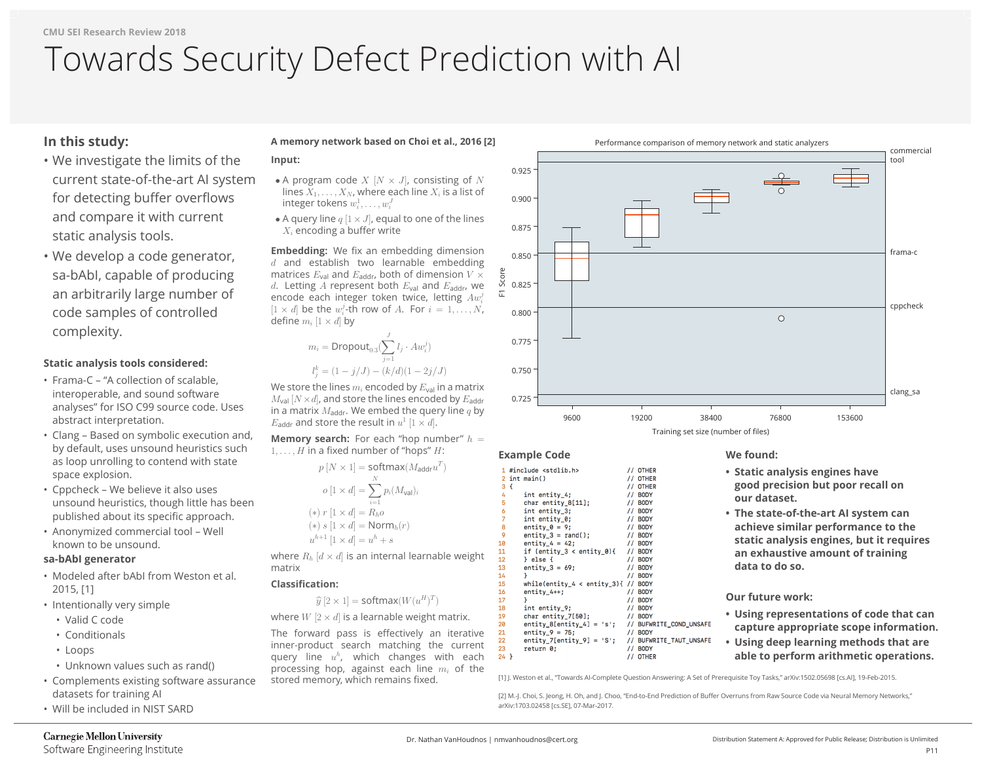# **In this study:**

- We investigate the limits of the current state-of-the-art AI system for detecting buffer overflows and compare it with current static analysis tools.
- We develop a code generator, sa-bAbI, capable of producing an arbitrarily large number of code samples of controlled complexity.

# **Static analysis tools considered:**

- Frama-C "A collection of scalable, interoperable, and sound software analyses" for ISO C99 source code. Uses abstract interpretation.
- Clang Based on symbolic execution and, by default, uses unsound heuristics such as loop unrolling to contend with state space explosion.
- Cppcheck We believe it also uses unsound heuristics, though little has been published about its specific approach.
- Anonymized commercial tool Well known to be unsound.

### **sa-bAbI generator**

- Modeled after bAbI from Weston et al. 2015, [1]
- Intentionally very simple
	- Valid C code
	- Conditionals
	- Loops
	- Unknown values such as rand()
- Complements existing software assurance datasets for training AI
- Will be included in NIST SARD

# **Carnegie Mellon University**

Software Engineering Institute

**Embedding:** We fix an embedding dimension  $d$  and establish two learnable embedding matrices  $E_{\text{val}}$  and  $E_{\text{addr}}$ , both of dimension  $V \times$ d. Letting A represent both  $E_{\text{val}}$  and  $E_{\text{addr}}$ , we encode each integer token twice, letting  $Aw_i^j$  $[1 \times d]$  be the  $w_i^j$ -th row of A. For  $i = 1, \ldots, N$ , define  $m_i$  [1  $\times$  d] by

where  $R_h$   $\left[ d \times d \right]$  is an internal learnable weight matrix

## **A memory network based on Choi et al., 2016 [2] Input:**

- A program code  $X$   $[N \times J]$ , consisting of  $N$ lines  $X_1,\ldots,X_N$ , where each line  $X_i$  is a list of integer tokens  $w_i^1,\ldots,w_i^J$
- A query line  $q \not\mid 1 \times J$ , equal to one of the lines  $X_i$  encoding a buffer write

tool frama-c

cppcheck

clang\_sa

$$
m_i = \text{Dropout}_{0.3}(\sum_{j=1}^{J} l_j \cdot Aw_i^j)
$$

$$
l_j^k = (1 - j/J) - (k/d)(1 - 2j)
$$

We store the lines  $m_i$  encoded by  $E_{val}$  in a matrix  $M_{\text{val}}$   $[N \times d]$ , and store the lines encoded by  $E_{\text{addr}}$ in a matrix  $M_{\text{addr}}$ . We embed the query line  $q$  by  $E_{\text{addr}}$  and store the result in  $u^1$  [1  $\times$  d].

**Memory search:** For each "hop number"  $h =$  $1, \ldots, H$  in a fixed number of "hops" H:



$$
p [N \times 1] = \text{softmax}(M_{\mathsf{a}})
$$

$$
o [1 \times d] = \sum_{i=1}^{N} p_i (M_{\mathsf{val}})_i
$$

$$
(*) r [1 \times d] = R_h o
$$

$$
(*) s [1 \times d] = \text{Norm}_h(r)
$$

$$
u^{h+1} [1 \times d] = u^h + s
$$

### **Classification:**

 $\widehat{y}[2 \times 1] = \mathsf{softmax}(W(u^H)^T)$ 

where  $W[2 \times d]$  is a learnable weight matrix.

The forward pass is effectively an iterative inner-product search matching the current query line  $u^h$ , which changes with each processing hop, against each line  $m_i$  of the stored memory, which remains fixed.

> [2] M.-J. Choi, S. Jeong, H. Oh, and J. Choo, "End-to-End Prediction of Buffer Overruns from Raw Source Code via Neural Memory Networks," arXiv:1703.02458 [cs.SE], 07-Mar-2017.

# Towards Security Defect Prediction with AI